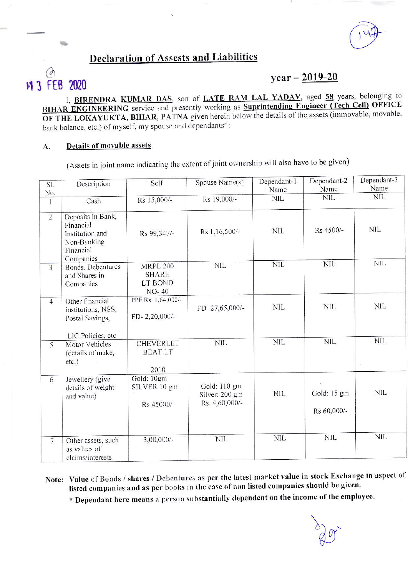## **Declaration of Assests and Liabilities**

# 11 3 FEB 2020

## $year - 2019-20$

I, **BIRENDRA KUMAR DAS**, son of **LATE RAM LAL YADAV**, aged 58 years, belonging to BIHAR ENGINEERING service and presently working as Suprintending Engineer (Tech Cell) OFFICE OF THE LOKAYUKTA, BIHAR, PATNA given herein below the details of the assets (immovable, movable, bank balance, etc.) of myself, my spouse and dependants\*:

### Details of movable assets A.

(Assets in joint name indicating the extent of joint ownership will also have to be given)

| SI.<br>No.              | Description                                                                                | Self                                                       | Spouse Name(s)                                   | Dependant-1<br>Name | Dependant-2<br>Name        | Dependant-3<br>Name |
|-------------------------|--------------------------------------------------------------------------------------------|------------------------------------------------------------|--------------------------------------------------|---------------------|----------------------------|---------------------|
| $\mathbf{1}$            | Cash                                                                                       | Rs 15,000/-                                                | Rs 19,000/-                                      | <b>NIL</b>          | <b>NIL</b>                 | <b>NIL</b>          |
| $\overline{2}$          | Deposits in Bank,<br>Financial<br>Institution and<br>Non-Banking<br>Financial<br>Companies | Rs 99,347/-                                                | Rs 1,16,500/-                                    | <b>NIL</b>          | Rs 4500/-                  | <b>NIL</b>          |
| $\overline{\mathbf{3}}$ | Bonds, Debentures<br>and Shares in<br>Companies                                            | <b>MRPL 200</b><br><b>SHARE</b><br>LT BOND<br><b>NO-40</b> | <b>NIL</b>                                       | <b>NIL</b>          | <b>NIL</b>                 | <b>NIL</b>          |
| $\overline{4}$          | Other financial<br>institutions, NSS,<br>Postal Savings,<br>LIC Policies, etc              | PPF Rs. 1,64,000/-<br>FD-2,20,000/-                        | FD-27,65,000/-                                   | <b>NIL</b>          | <b>NIL</b>                 | <b>NIL</b>          |
| 5                       | <b>Motor Vehicles</b><br>(details of make,<br>$etc.$ )                                     | <b>CHEVERLET</b><br><b>BEATLT</b><br>2010                  | <b>NIL</b>                                       | <b>NIL</b>          | <b>NIL</b>                 | <b>NIL</b>          |
| 6                       | Jewellery (give<br>details of weight<br>and value)                                         | Gold: 10gm<br>SILVER 10 gm<br>Rs 45000/-                   | Gold: 110 gm<br>Silver: 200 gm<br>Rs. 4,60,000/- | <b>NIL</b>          | Gold: 15 gm<br>Rs 60,000/- | <b>NIL</b>          |
| $\overline{7}$          | Other assets, such<br>as values of<br>claims/interests                                     | $3,00,000/-$                                               | <b>NIL</b>                                       | <b>NIL</b>          | <b>NIL</b>                 | <b>NIL</b>          |

Note: Value of Bonds / shares / Debentures as per the latest market value in stock Exchange in aspect of listed companies and as per books in the case of non listed companies should be given.

\* Dependant here means a person substantially dependent on the income of the employee.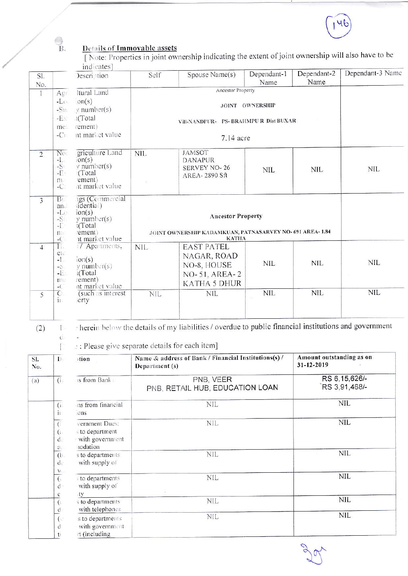

#### $\overline{B}$ . Details of Immovable assets [Note: Properties in joint ownership indicating the extent of joint ownership will also have to be indicates] Dependant-2 Dependant-3 Name Dependant-1 Self Spouse Name(s) Description SI. Name Name No. Ancestor Property Itural Land  $\mathbf{I}$  $Aer$  $on(s)$  $-L$ JOINT OWNERSHIP  $v$  number(s)  $-S11$  $-E_{\rm N}$ I(Total Vill-NANDPUR- PS- BRAHMPU R Dist BUXAR rement) me:  $-C1$ nt market value 7.14 acre griculture Land No  $NIL$ **JAMSOT**  $\overline{2}$  $-1$  $\overline{on}(s)$ **DANAPUR**  $-\frac{S}{E}$  $y$  number(s) **SERVEY NO-26 NIL NIL NIL** (Total **AREA-2890 Sft** ement)  $m$ . at market value  $-C$  $B<sub>1</sub>$ 1gs (Commercial 3

idential) an  $-L()$  $ion(s)$ **Ancestor Property**  $-\frac{5}{1}$  $v$  number(s) t(Total JOINT OWNERSHIP KADAMKUAN, PATNASARVEY NO- 691 AREA-1.84 ement)  $\mathbf{n}$ it market value **KATHA**  $-$ (  $\overline{4}$ T. #7 Apartments, **NIL EAST PATEL** etc NAGAR, ROAD  $-1$ .  $ion(s)$  $\mbox{NIL}$ **NIL NIL** NO-8, HOUSE  $y$  number $(s)$  $-5$  $-E$ i(Total NO-51, AREA-2  $m$ rement) **KATHA 5 DHUR** nt market value  $-$ ( **NIL**  $NIL$ **NIL**  $\overline{O}$ (such as interest) **NIL NIL** 5  $i_{\perp}$ erty

 $(2)$ 

 $\Gamma$ 

herein below the details of my liabilities / overdue to public financial institutions and government  $\mathbb{L}$  $\mathcal{C}$ 

 $\therefore$ : Please give separate details for each item]

| SI.<br>No. | $D_{\mathcal{C}}$                                                 | )tion                                                            | Name & address of Bank / Financial Institutions(s) /<br>Department (s) | Amount outstanding as on<br>31-12-2019 |  |
|------------|-------------------------------------------------------------------|------------------------------------------------------------------|------------------------------------------------------------------------|----------------------------------------|--|
| (a)        | (i)                                                               | is from Banks                                                    | PNB, VEER<br>PNB, RETAIL HUB, EDUCATION LOAN                           | RS 6, 15, 626/-<br>RS 3,91,468/-       |  |
|            | (ii)<br>iı.                                                       | ins from financial<br>ons                                        | <b>NIL</b>                                                             | <b>NIL</b>                             |  |
|            | $\overline{(\cdot)}$<br>$\left(\cdot\right)$<br>$d$ .<br>$\alpha$ | vernment Dues:<br>s to department<br>with government<br>nodation | <b>NIL</b>                                                             | <b>NIL</b>                             |  |
|            | (b.<br>$d$ .                                                      | s to departments.<br>with supply of                              | <b>NIL</b>                                                             | NIL                                    |  |
|            | $\mathcal{W}$ .<br>$\overline{(\cdot)}$<br>$d$ .<br>e             | s to departments<br>with supply of<br>ity                        | <b>NIL</b>                                                             | <b>NIL</b>                             |  |
|            | $\left($<br>d                                                     | s to departments<br>with telephones                              | <b>NIL</b>                                                             | <b>NIL</b>                             |  |
|            | $\overline{(\cdot)}$<br>d<br>t.                                   | s to departments<br>with government<br>rt (including             | NIL                                                                    | <b>NIL</b>                             |  |